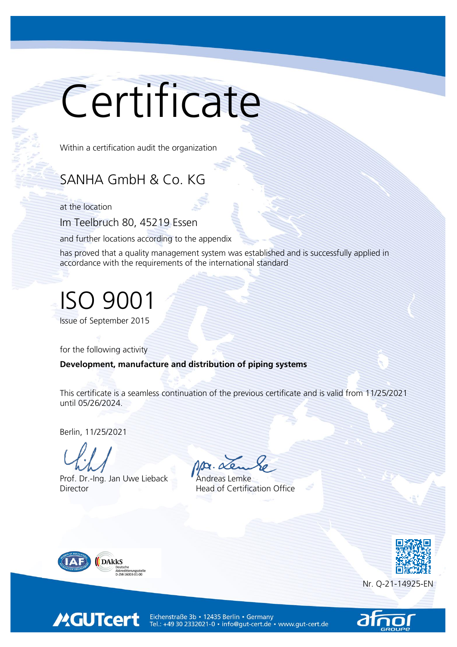## Certificate

Within a certification audit the organization

## SANHA GmbH & Co. KG

at the location

Im Teelbruch 80, 45219 Essen

and further locations according to the appendix

has proved that a quality management system was established and is successfully applied in accordance with the requirements of the international standard

## ISO 9001

Issue of September 2015

for the following activity

Development, manufacture and distribution of piping systems

This certificate is a seamless continuation of the previous certificate and is valid from 11/25/2021 until 05/26/2024.

Berlin, 11/25/2021

Prof. Dr.-Ing. Jan Uwe Lieback Andreas Lemke Director **Head of Certification Office** 



**MGUTcert** 





Eichenstraße 3b · 12435 Berlin · Germany Tel.: +49 30 2332021-0 · info@gut-cert.de · www.gut-cert.de